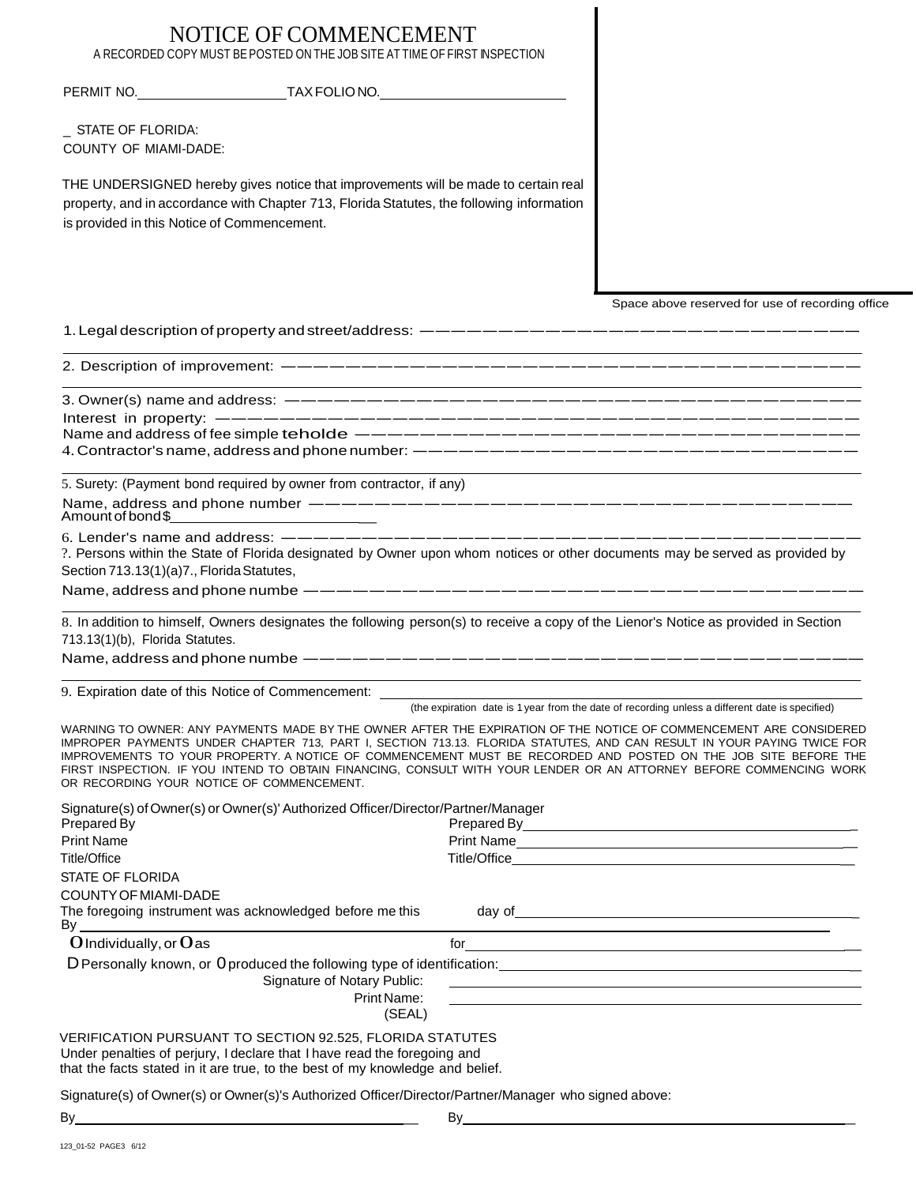### NOTICE OF COMMENCEMENT A RECORDED COPY MUST BE POSTED ON THE JOB SITE AT TIME OF FIRST INSPECTION

PERMIT NO. TAX FOLIONO.

STATE OF FLORIDA: COUNTY OF MIAMI-DADE:

THE UNDERSIGNED hereby gives notice that improvements will be made to certain real property, and in accordance with Chapter 713, Florida Statutes, the following information is provided in this Notice of Commencement.

Space above reserved for use of recording office

1. Legal description of property and street/address: ---------------------------2. Description of improvement:------------------------------------

3. Owner(s) name and address:----------------------------------- Interest in property:---------------------------------------- Name and address of fee simple teholde ------------------------------- 4. Contractor's name, address and phone number:-----------------------------

5. Surety: (Payment bond required by owner from contractor, if any) Name, address and phone number ---------------------------------

Name, address and phone number ------<br>Amount of bond\$

6. Lender's name and address:------------------------------------ ?. Persons within the State of Florida designated by Owner upon whom notices or other documents may be served as provided by Name, address and phone numbe ---------------------------------- Section 713.13(1)(a)7., Florida Statutes,

8. In addition to himself, Owners designates the following person(s) to receive a copy of the Lienor's Notice as provided in Section<br>713.13(1)(b), Florida Statutes.<br>Name, address and phone numbe —————————————————————————— 713.13(1)(b), Florida Statutes.

9. Expiration date of this Notice of Commencement:

(the expiration date is 1 year from the date of recording unless a different date is specified)

WARNING TO OWNER: ANY PAYMENTS MADE BY THE OWNER AFTER THE EXPIRATION OF THE NOTICE OF COMMENCEMENT ARE CONSIDERED IMPROPER PAYMENTS UNDER CHAPTER 713, PART I, SECTION 713.13. FLORIDA STATUTES, AND CAN RESULT IN YOUR PAYING TWICE FOR IMPROVEMENTS TO YOUR PROPERTY. A NOTICE OF COMMENCEMENT MUST BE RECORDED AND POSTED ON THE JOB SITE BEFORE THE FIRST INSPECTION. IF YOU INTEND TO OBTAIN FINANCING, CONSULT WITH YOUR LENDER OR AN ATTORNEY BEFORE COMMENCING WORK OR RECORDING YOUR NOTICE OF COMMENCEMENT.

Signature(s) of Owner(s) or Owner(s)' Authorized Officer/Director/Partner/Manager Prepared By Prepared By Prepared By Print Name Print Name Print Name Print Name Print Name Print Name Print Name Print Name Print Name Print Name Print Name Print Name Print Name Print Name Print Name Print Name Print Name Print Name Print Name Print Name Pr Title/Office Title/Office \_ STATE OF FLORIDA COUNTYOFMIAMI-DADE The foregoing instrument was acknowledged before me this day of By 0Individually,or0as for \_ D Personally known, or 0 produced the following type of identification: Signature of Notary Public: Print Name: (SEAL) VERIFICATION PURSUANT TO SECTION 92.525, FLORIDA STATUTES Under penalties of perjury, I declare that I have read the foregoing and that the facts stated in it are true, to the best of my knowledge and belief.

Signature(s) of Owner(s) or Owner(s)'s Authorized Officer/Director/Partner/Manager who signed above:  $\overline{By}$  by  $\overline{By}$  by  $\overline{By}$  by  $\overline{By}$  by  $\overline{By}$  by  $\overline{By}$  by  $\overline{By}$  by  $\overline{By}$  by  $\overline{By}$  by  $\overline{By}$  by  $\overline{By}$  and  $\overline{By}$  and  $\overline{By}$  and  $\overline{By}$  and  $\overline{By}$  and  $\overline{By}$  and  $\overline{By$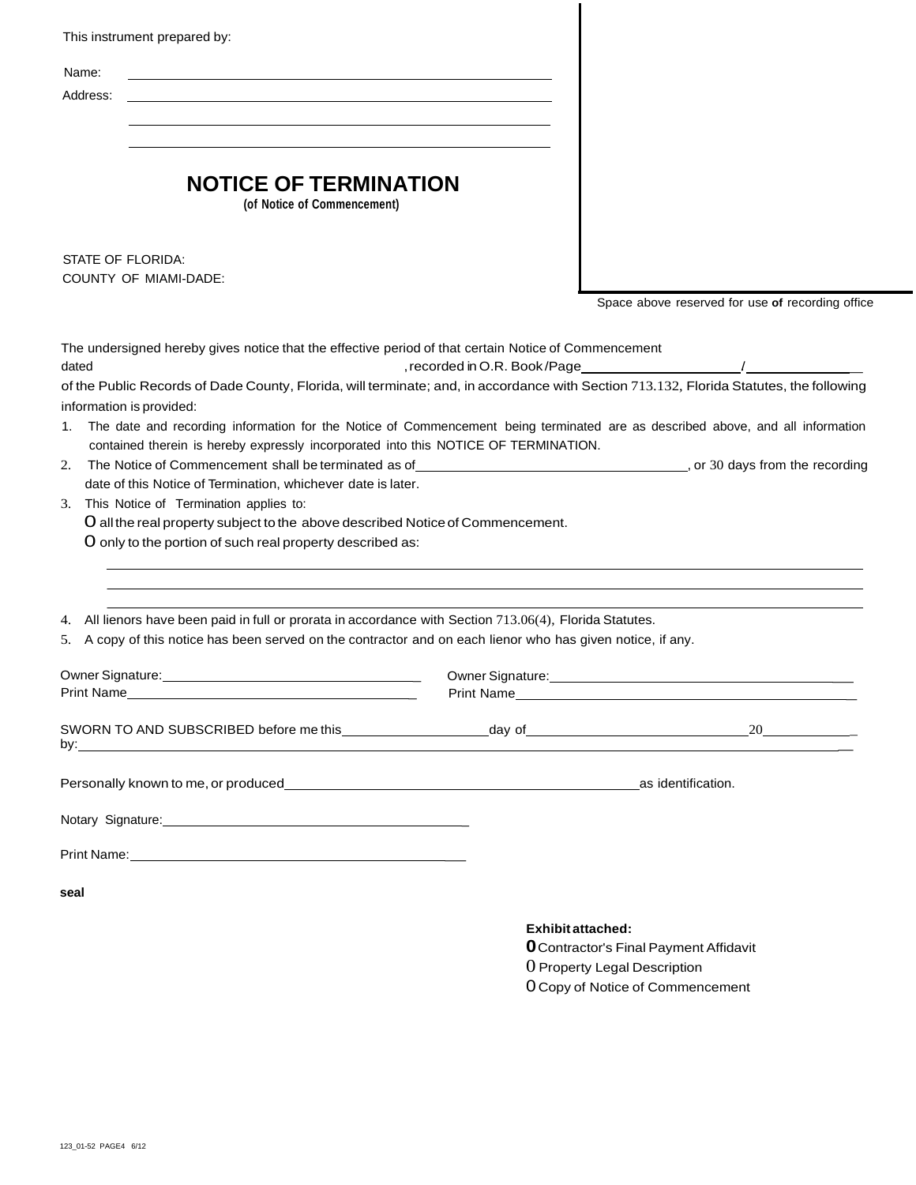| This instrument prepared by:<br>Name:<br>Address:                                                                                                                                                                                                                                                                                                                                                                                                                                                                                                                                                                                                                                                                                                                                        |                                    |                                                                                                           |
|------------------------------------------------------------------------------------------------------------------------------------------------------------------------------------------------------------------------------------------------------------------------------------------------------------------------------------------------------------------------------------------------------------------------------------------------------------------------------------------------------------------------------------------------------------------------------------------------------------------------------------------------------------------------------------------------------------------------------------------------------------------------------------------|------------------------------------|-----------------------------------------------------------------------------------------------------------|
| <b>NOTICE OF TERMINATION</b><br>(of Notice of Commencement)                                                                                                                                                                                                                                                                                                                                                                                                                                                                                                                                                                                                                                                                                                                              |                                    |                                                                                                           |
| STATE OF FLORIDA:<br><b>COUNTY OF MIAMI-DADE:</b>                                                                                                                                                                                                                                                                                                                                                                                                                                                                                                                                                                                                                                                                                                                                        |                                    | Space above reserved for use of recording office                                                          |
| The undersigned hereby gives notice that the effective period of that certain Notice of Commencement<br>dated<br>of the Public Records of Dade County, Florida, will terminate; and, in accordance with Section 713.132, Florida Statutes, the following<br>information is provided:<br>The date and recording information for the Notice of Commencement being terminated are as described above, and all information<br>1.<br>contained therein is hereby expressly incorporated into this NOTICE OF TERMINATION.<br>2.<br>date of this Notice of Termination, whichever date is later.<br>This Notice of Termination applies to:<br>3.<br>O all the real property subject to the above described Notice of Commencement.<br>O only to the portion of such real property described as: | , recorded in O.R. Book/Page______ |                                                                                                           |
| All lienors have been paid in full or prorata in accordance with Section 713.06(4), Florida Statutes.<br>4.<br>5. A copy of this notice has been served on the contractor and on each lienor who has given notice, if any.                                                                                                                                                                                                                                                                                                                                                                                                                                                                                                                                                               |                                    |                                                                                                           |
| Print Name                                                                                                                                                                                                                                                                                                                                                                                                                                                                                                                                                                                                                                                                                                                                                                               |                                    |                                                                                                           |
|                                                                                                                                                                                                                                                                                                                                                                                                                                                                                                                                                                                                                                                                                                                                                                                          |                                    |                                                                                                           |
|                                                                                                                                                                                                                                                                                                                                                                                                                                                                                                                                                                                                                                                                                                                                                                                          |                                    |                                                                                                           |
|                                                                                                                                                                                                                                                                                                                                                                                                                                                                                                                                                                                                                                                                                                                                                                                          |                                    |                                                                                                           |
| seal                                                                                                                                                                                                                                                                                                                                                                                                                                                                                                                                                                                                                                                                                                                                                                                     |                                    |                                                                                                           |
|                                                                                                                                                                                                                                                                                                                                                                                                                                                                                                                                                                                                                                                                                                                                                                                          |                                    | <b>Exhibit attached:</b><br><b>O</b> Contractor's Final Payment Affidavit<br>O Property Legal Description |

0 Copy of Notice of Commencement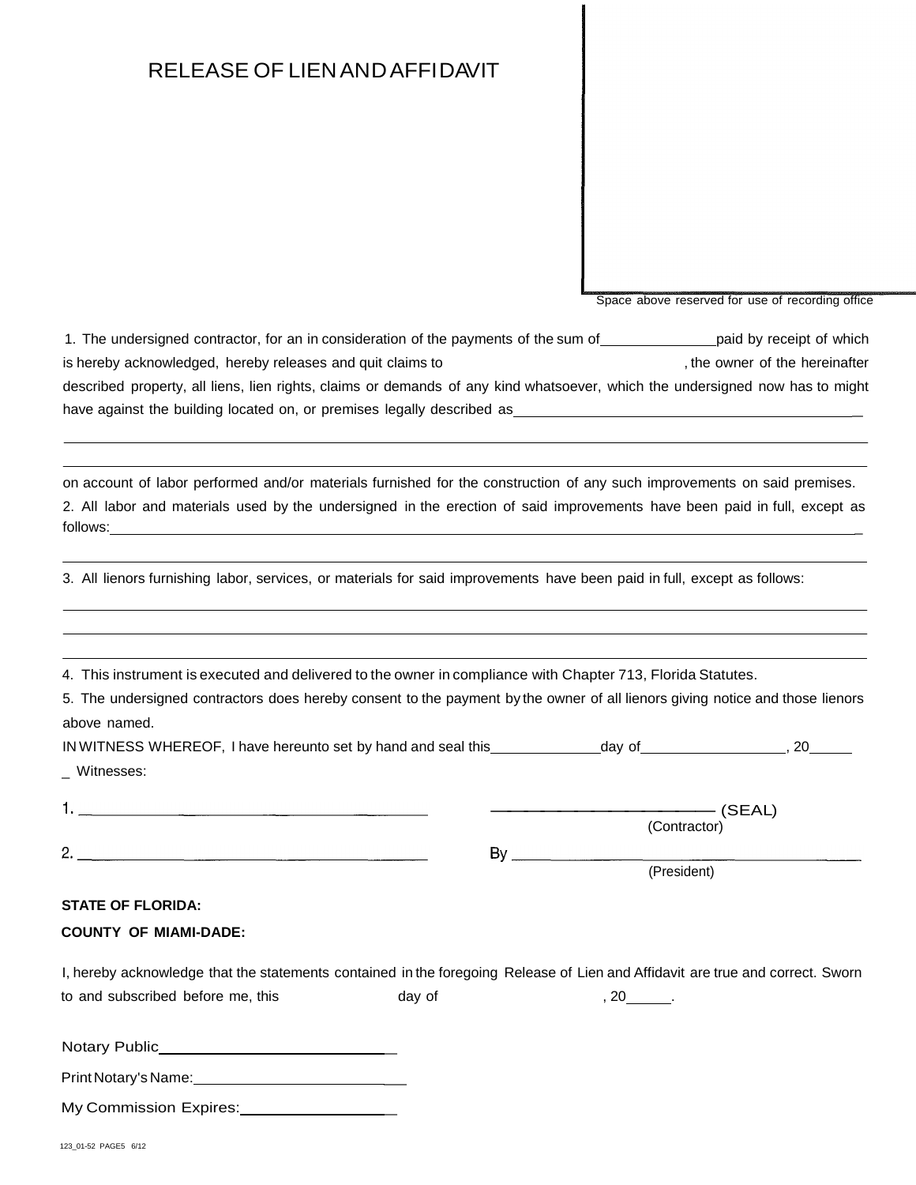# RELEASE OF LIENANDAFFIDAVIT

Space above reserved for use of recording office

1. The undersigned contractor, for an in consideration of the payments of the sum of paid by receipt of which is hereby acknowledged, hereby releases and quit claims to the new part of the hereinafter the hereinafter described property, all liens, lien rights, claims or demands of any kind whatsoever, which the undersigned now has to might have against the building located on, or premises legally described as \_\_\_\_\_\_\_

on account of labor performed and/or materials furnished for the construction of any such improvements on said premises. 2. All labor and materials used by the undersigned in the erection of said improvements have been paid in full, except as follows:

3. All lienors furnishing labor, services, or materials for said improvements have been paid in full, except as follows:

4. This instrument is executed and delivered to the owner in compliance with Chapter 713, Florida Statutes.

5. The undersigned contractors does hereby consent to the payment by the owner of all lienors giving notice and those lienors above named.

| IN WITNESS WHEREOF, I have hereunto set by hand and seal this | day of       | 20     |
|---------------------------------------------------------------|--------------|--------|
| Witnesses:                                                    |              |        |
|                                                               | (Contractor) | (SEAL) |

|        | (Contractor) |
|--------|--------------|
| $\sim$ |              |

#### (President)

#### **STATE OF FLORIDA:**

#### **COUNTY OF MIAMI-DADE:**

| I, hereby acknowledge that the statements contained in the foregoing Release of Lien and Affidavit are true and correct. Sworn |        |    |  |
|--------------------------------------------------------------------------------------------------------------------------------|--------|----|--|
| to and subscribed before me, this                                                                                              | dav of | 20 |  |

| $\cdots$             |  |
|----------------------|--|
| Print Notary's Name: |  |

| My Commission Expires: |  |
|------------------------|--|
|                        |  |